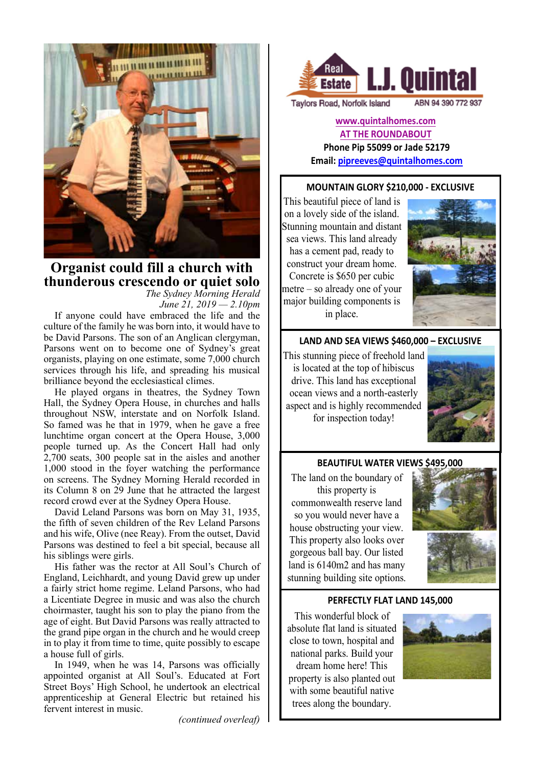

# **Organist could fill a church with thunderous crescendo or quiet solo**

*The Sydney Morning Herald June 21, 2019 — 2.10pm*

If anyone could have embraced the life and the culture of the family he was born into, it would have to be David Parsons. The son of an Anglican clergyman, Parsons went on to become one of Sydney's great organists, playing on one estimate, some 7,000 church services through his life, and spreading his musical brilliance beyond the ecclesiastical climes.

He played organs in theatres, the Sydney Town Hall, the Sydney Opera House, in churches and halls throughout NSW, interstate and on Norfolk Island. So famed was he that in 1979, when he gave a free lunchtime organ concert at the Opera House, 3,000 people turned up. As the Concert Hall had only 2,700 seats, 300 people sat in the aisles and another 1,000 stood in the foyer watching the performance on screens. The Sydney Morning Herald recorded in its Column 8 on 29 June that he attracted the largest record crowd ever at the Sydney Opera House.

David Leland Parsons was born on May 31, 1935, the fifth of seven children of the Rev Leland Parsons and his wife, Olive (nee Reay). From the outset, David Parsons was destined to feel a bit special, because all his siblings were girls.

His father was the rector at All Soul's Church of England, Leichhardt, and young David grew up under a fairly strict home regime. Leland Parsons, who had a Licentiate Degree in music and was also the church choirmaster, taught his son to play the piano from the age of eight. But David Parsons was really attracted to the grand pipe organ in the church and he would creep in to play it from time to time, quite possibly to escape a house full of girls.

In 1949, when he was 14, Parsons was officially appointed organist at All Soul's. Educated at Fort Street Boys' High School, he undertook an electrical apprenticeship at General Electric but retained his fervent interest in music.

*(continued overleaf)*



**Taylors Road, Norfolk Island** 

**www.quintalhomes.com**

**AT THE ROUNDABOUT Phone Pip 55099 or Jade 52179** 

**Email: pipreeves@quintalhomes.com**

### **MOUNTAIN GLORY \$210,000 - EXCLUSIVE**

This beautiful piece of land is on a lovely side of the island. Stunning mountain and distant sea views. This land already has a cement pad, ready to construct your dream home. Concrete is \$650 per cubic metre – so already one of your major building components is in place.



ABN 94 390 772 937

### **LAND AND SEA VIEWS \$460,000 - EXCLUSIVE**

This stunning piece of freehold land is located at the top of hibiscus drive. This land has exceptional ocean views and a north-easterly aspect and is highly recommended for inspection today!



### **BEAUTIFUL WATER VIEWS \$495,000**

The land on the boundary of this property is commonwealth reserve land so you would never have a house obstructing your view. This property also looks over gorgeous ball bay. Our listed land is 6140m2 and has many stunning building site options.



#### **PERFECTLY FLAT LAND 145,000**

This wonderful block of absolute flat land is situated close to town, hospital and national parks. Build your dream home here! This property is also planted out with some beautiful native trees along the boundary.